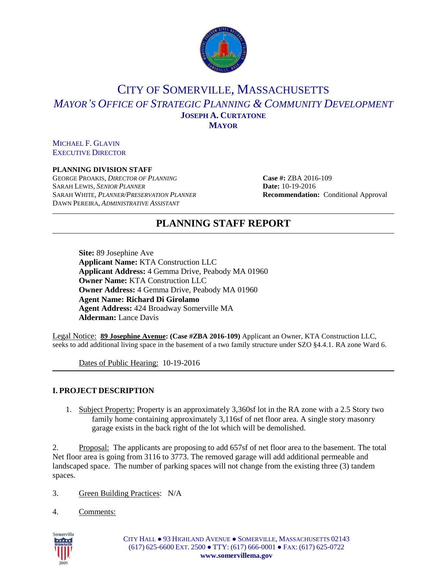

# CITY OF SOMERVILLE, MASSACHUSETTS *MAYOR'S OFFICE OF STRATEGIC PLANNING & COMMUNITY DEVELOPMENT* **JOSEPH A. CURTATONE MAYOR**

MICHAEL F. GLAVIN EXECUTIVE DIRECTOR

### **PLANNING DIVISION STAFF**

GEORGE PROAKIS, *DIRECTOR OF PLANNING* **Case #:** ZBA 2016-109 SARAH LEWIS, *SENIOR PLANNER* **Date:** 10-19-2016 SARAH WHITE, *PLANNER/PRESERVATION PLANNER* **Recommendation:** Conditional Approval DAWN PEREIRA, *ADMINISTRATIVE ASSISTANT*

## **PLANNING STAFF REPORT**

**Site:** 89 Josephine Ave **Applicant Name:** KTA Construction LLC **Applicant Address:** 4 Gemma Drive, Peabody MA 01960 **Owner Name:** KTA Construction LLC **Owner Address:** 4 Gemma Drive, Peabody MA 01960 **Agent Name: Richard Di Girolamo Agent Address:** 424 Broadway Somerville MA **Alderman:** Lance Davis

Legal Notice: **89 Josephine Avenue: (Case #ZBA 2016-109)** Applicant an Owner, KTA Construction LLC, seeks to add additional living space in the basement of a two family structure under SZO §4.4.1. RA zone Ward 6.

Dates of Public Hearing: 10-19-2016

## **I. PROJECT DESCRIPTION**

1. Subject Property: Property is an approximately 3,360sf lot in the RA zone with a 2.5 Story two family home containing approximately 3,116sf of net floor area. A single story masonry garage exists in the back right of the lot which will be demolished.

2. Proposal: The applicants are proposing to add 657sf of net floor area to the basement. The total Net floor area is going from 3116 to 3773. The removed garage will add additional permeable and landscaped space. The number of parking spaces will not change from the existing three (3) tandem spaces.

3. Green Building Practices: N/A

4. Comments:

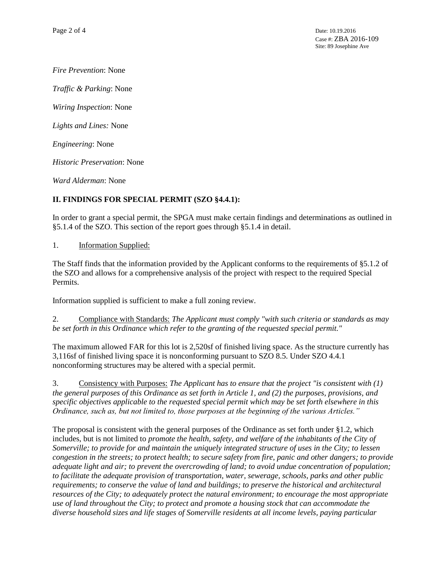*Fire Prevention*: None

*Traffic & Parking*: None

*Wiring Inspection*: None

*Lights and Lines:* None

*Engineering*: None

*Historic Preservation*: None

*Ward Alderman*: None

## **II. FINDINGS FOR SPECIAL PERMIT (SZO §4.4.1):**

In order to grant a special permit, the SPGA must make certain findings and determinations as outlined in §5.1.4 of the SZO. This section of the report goes through §5.1.4 in detail.

1. Information Supplied:

The Staff finds that the information provided by the Applicant conforms to the requirements of §5.1.2 of the SZO and allows for a comprehensive analysis of the project with respect to the required Special Permits.

Information supplied is sufficient to make a full zoning review.

2. Compliance with Standards: *The Applicant must comply "with such criteria or standards as may be set forth in this Ordinance which refer to the granting of the requested special permit."*

The maximum allowed FAR for this lot is 2,520sf of finished living space. As the structure currently has 3,116sf of finished living space it is nonconforming pursuant to SZO 8.5. Under SZO 4.4.1 nonconforming structures may be altered with a special permit.

3. Consistency with Purposes: *The Applicant has to ensure that the project "is consistent with (1) the general purposes of this Ordinance as set forth in Article 1, and (2) the purposes, provisions, and specific objectives applicable to the requested special permit which may be set forth elsewhere in this Ordinance, such as, but not limited to, those purposes at the beginning of the various Articles."* 

The proposal is consistent with the general purposes of the Ordinance as set forth under §1.2, which includes, but is not limited to *promote the health, safety, and welfare of the inhabitants of the City of Somerville; to provide for and maintain the uniquely integrated structure of uses in the City; to lessen congestion in the streets; to protect health; to secure safety from fire, panic and other dangers; to provide adequate light and air; to prevent the overcrowding of land; to avoid undue concentration of population; to facilitate the adequate provision of transportation, water, sewerage, schools, parks and other public requirements; to conserve the value of land and buildings; to preserve the historical and architectural resources of the City; to adequately protect the natural environment; to encourage the most appropriate use of land throughout the City; to protect and promote a housing stock that can accommodate the diverse household sizes and life stages of Somerville residents at all income levels, paying particular*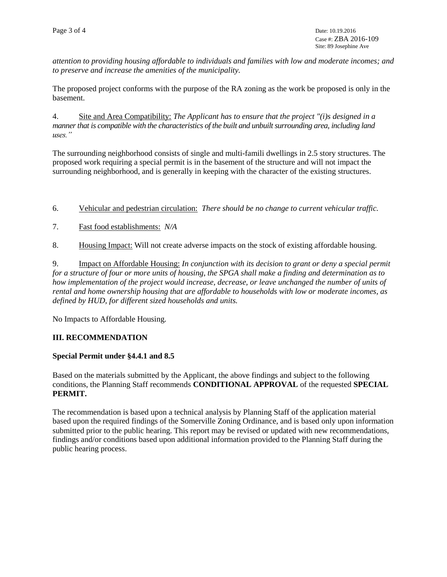*attention to providing housing affordable to individuals and families with low and moderate incomes; and to preserve and increase the amenities of the municipality.*

The proposed project conforms with the purpose of the RA zoning as the work be proposed is only in the basement.

4. Site and Area Compatibility: *The Applicant has to ensure that the project "(i)s designed in a manner that is compatible with the characteristics of the built and unbuilt surrounding area, including land uses."*

The surrounding neighborhood consists of single and multi-famili dwellings in 2.5 story structures. The proposed work requiring a special permit is in the basement of the structure and will not impact the surrounding neighborhood, and is generally in keeping with the character of the existing structures.

6. Vehicular and pedestrian circulation: *There should be no change to current vehicular traffic.*

- 7. Fast food establishments: *N/A*
- 8. Housing Impact: Will not create adverse impacts on the stock of existing affordable housing.

9. Impact on Affordable Housing: *In conjunction with its decision to grant or deny a special permit for a structure of four or more units of housing, the SPGA shall make a finding and determination as to how implementation of the project would increase, decrease, or leave unchanged the number of units of rental and home ownership housing that are affordable to households with low or moderate incomes, as defined by HUD, for different sized households and units.*

No Impacts to Affordable Housing.

### **III. RECOMMENDATION**

### **Special Permit under §4.4.1 and 8.5**

Based on the materials submitted by the Applicant, the above findings and subject to the following conditions, the Planning Staff recommends **CONDITIONAL APPROVAL** of the requested **SPECIAL PERMIT.** 

The recommendation is based upon a technical analysis by Planning Staff of the application material based upon the required findings of the Somerville Zoning Ordinance, and is based only upon information submitted prior to the public hearing. This report may be revised or updated with new recommendations, findings and/or conditions based upon additional information provided to the Planning Staff during the public hearing process.